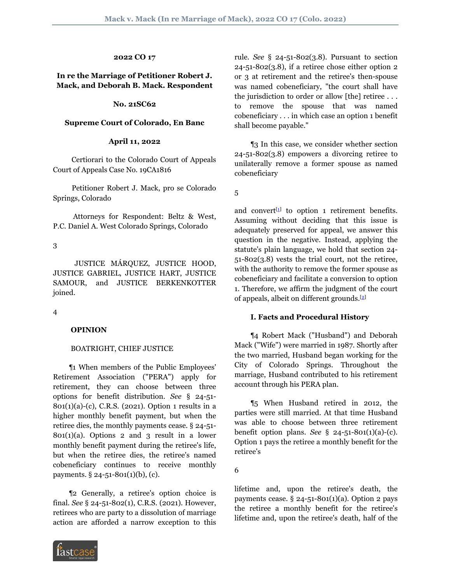# **2022 CO 17**

## **In re the Marriage of Petitioner Robert J. Mack, and Deborah B. Mack. Respondent**

#### **No. 21SC62**

#### **Supreme Court of Colorado, En Banc**

#### **April 11, 2022**

 Certiorari to the Colorado Court of Appeals Court of Appeals Case No. 19CA1816

 Petitioner Robert J. Mack, pro se Colorado Springs, Colorado

 Attorneys for Respondent: Beltz & West, P.C. Daniel A. West Colorado Springs, Colorado

3

 JUSTICE MÁRQUEZ, JUSTICE HOOD, JUSTICE GABRIEL, JUSTICE HART, JUSTICE SAMOUR, and JUSTICE BERKENKOTTER joined.

4

#### **OPINION**

#### BOATRIGHT, CHIEF JUSTICE

 ¶1 When members of the Public Employees' Retirement Association ("PERA") apply for retirement, they can choose between three options for benefit distribution. *See* § 24-51- 801(1)(a)-(c), C.R.S. (2021). Option 1 results in a higher monthly benefit payment, but when the retiree dies, the monthly payments cease. § 24-51-  $801(1)(a)$ . Options 2 and 3 result in a lower monthly benefit payment during the retiree's life, but when the retiree dies, the retiree's named cobeneficiary continues to receive monthly payments. § 24-51-801(1)(b), (c).

 ¶2 Generally, a retiree's option choice is final. *See* § 24-51-802(1), C.R.S. (2021). However, retirees who are party to a dissolution of marriage action are afforded a narrow exception to this



rule. *See* § 24-51-802(3.8). Pursuant to section  $24 - 51 - 802(3.8)$ , if a retiree chose either option 2 or 3 at retirement and the retiree's then-spouse was named cobeneficiary, "the court shall have the jurisdiction to order or allow [the] retiree . . . to remove the spouse that was named cobeneficiary . . . in which case an option 1 benefit shall become payable."

 ¶3 In this case, we consider whether section 24-51-802(3.8) empowers a divorcing retiree to unilaterally remove a former spouse as named cobeneficiary

5

<span id="page-0-0"></span>and convert<sup>[[1\]](#page-4-0)</sup> to option 1 retirement benefits. Assuming without deciding that this issue is adequately preserved for appeal, we answer this question in the negative. Instead, applying the statute's plain language, we hold that section 24- 51-802(3.8) vests the trial court, not the retiree, with the authority to remove the former spouse as cobeneficiary and facilitate a conversion to option 1. Therefore, we affirm the judgment of the court of appeals, albeit on different grounds.[\[2\]](#page-5-0)

#### <span id="page-0-1"></span>**I. Facts and Procedural History**

 ¶4 Robert Mack ("Husband") and Deborah Mack ("Wife") were married in 1987. Shortly after the two married, Husband began working for the City of Colorado Springs. Throughout the marriage, Husband contributed to his retirement account through his PERA plan.

 ¶5 When Husband retired in 2012, the parties were still married. At that time Husband was able to choose between three retirement benefit option plans. *See* § 24-51-801(1)(a)-(c). Option 1 pays the retiree a monthly benefit for the retiree's

6

lifetime and, upon the retiree's death, the payments cease.  $\S$  24-51-801(1)(a). Option 2 pays the retiree a monthly benefit for the retiree's lifetime and, upon the retiree's death, half of the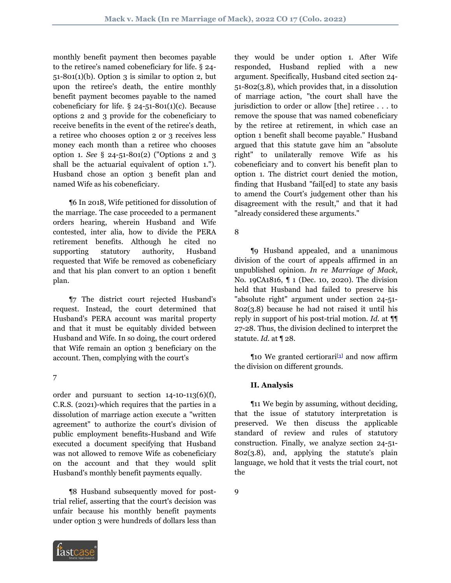monthly benefit payment then becomes payable to the retiree's named cobeneficiary for life. § 24-  $51-801(1)(b)$ . Option 3 is similar to option 2, but upon the retiree's death, the entire monthly benefit payment becomes payable to the named cobeneficiary for life.  $\S$  24-51-801(1)(c). Because options 2 and 3 provide for the cobeneficiary to receive benefits in the event of the retiree's death, a retiree who chooses option 2 or 3 receives less money each month than a retiree who chooses option 1. *See* § 24-51-801(2) ("Options 2 and 3 shall be the actuarial equivalent of option 1."). Husband chose an option 3 benefit plan and named Wife as his cobeneficiary.

 ¶6 In 2018, Wife petitioned for dissolution of the marriage. The case proceeded to a permanent orders hearing, wherein Husband and Wife contested, inter alia, how to divide the PERA retirement benefits. Although he cited no supporting statutory authority, Husband requested that Wife be removed as cobeneficiary and that his plan convert to an option 1 benefit plan.

 ¶7 The district court rejected Husband's request. Instead, the court determined that Husband's PERA account was marital property and that it must be equitably divided between Husband and Wife. In so doing, the court ordered that Wife remain an option 3 beneficiary on the account. Then, complying with the court's

## 7

order and pursuant to section  $14$ -10-113(6)(f), C.R.S. (2021)-which requires that the parties in a dissolution of marriage action execute a "written agreement" to authorize the court's division of public employment benefits-Husband and Wife executed a document specifying that Husband was not allowed to remove Wife as cobeneficiary on the account and that they would split Husband's monthly benefit payments equally.

 ¶8 Husband subsequently moved for posttrial relief, asserting that the court's decision was unfair because his monthly benefit payments under option 3 were hundreds of dollars less than

they would be under option 1. After Wife responded, Husband replied with a new argument. Specifically, Husband cited section 24- 51-802(3.8), which provides that, in a dissolution of marriage action, "the court shall have the jurisdiction to order or allow [the] retiree . . . to remove the spouse that was named cobeneficiary by the retiree at retirement, in which case an option 1 benefit shall become payable." Husband argued that this statute gave him an "absolute right" to unilaterally remove Wife as his cobeneficiary and to convert his benefit plan to option 1. The district court denied the motion, finding that Husband "fail[ed] to state any basis to amend the Court's judgement other than his disagreement with the result," and that it had "already considered these arguments."

# 8

 ¶9 Husband appealed, and a unanimous division of the court of appeals affirmed in an unpublished opinion. *In re Marriage of Mack*, No. 19CA1816, ¶ 1 (Dec. 10, 2020). The division held that Husband had failed to preserve his "absolute right" argument under section 24-51- 802(3.8) because he had not raised it until his reply in support of his post-trial motion. *Id.* at ¶¶ 27-28. Thus, the division declined to interpret the statute. *Id.* at ¶ 28.

**The Strutu and Strutu and Trutu and Trutu and Trutu and November 10 Year 10 Year 201[3](#page-5-1)** the division on different grounds.

# <span id="page-1-0"></span>**II. Analysis**

 ¶11 We begin by assuming, without deciding, that the issue of statutory interpretation is preserved. We then discuss the applicable standard of review and rules of statutory construction. Finally, we analyze section 24-51- 802(3.8), and, applying the statute's plain language, we hold that it vests the trial court, not the

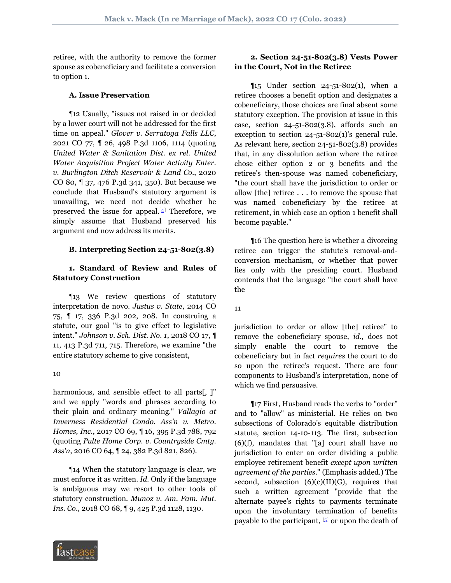retiree, with the authority to remove the former spouse as cobeneficiary and facilitate a conversion to option 1.

#### **A. Issue Preservation**

 ¶12 Usually, "issues not raised in or decided by a lower court will not be addressed for the first time on appeal." *Glover v. Serratoga Falls LLC*, 2021 CO 77, ¶ 26, 498 P.3d 1106, 1114 (quoting *United Water & Sanitation Dist. ex rel. United Water Acquisition Project Water Activity Enter. v. Burlington Ditch Reservoir & Land Co.*, 2020 CO 80, ¶ 37, 476 P.3d 341, 350). But because we conclude that Husband's statutory argument is unavailing, we need not decide whether he preserved the issue for appeal.<sup>[\[4\]](#page-5-2)</sup> Therefore, we simply assume that Husband preserved his argument and now address its merits.

## **B. Interpreting Section 24-51-802(3.8)**

## **1. Standard of Review and Rules of Statutory Construction**

 ¶13 We review questions of statutory interpretation de novo. *Justus v. State*, 2014 CO 75, ¶ 17, 336 P.3d 202, 208. In construing a statute, our goal "is to give effect to legislative intent." *Johnson v. Sch. Dist. No. 1*, 2018 CO 17, ¶ 11, 413 P.3d 711, 715. Therefore, we examine "the entire statutory scheme to give consistent,

#### 10

harmonious, and sensible effect to all parts[, ]" and we apply "words and phrases according to their plain and ordinary meaning." *Vallagio at Inverness Residential Condo. Ass'n v. Metro. Homes, Inc.*, 2017 CO 69, ¶ 16, 395 P.3d 788, 792 (quoting *Pulte Home Corp. v. Countryside Cmty. Ass'n*, 2016 CO 64, ¶ 24, 382 P.3d 821, 826).

 ¶14 When the statutory language is clear, we must enforce it as written. *Id.* Only if the language is ambiguous may we resort to other tools of statutory construction. *Munoz v. Am. Fam. Mut. Ins. Co.*, 2018 CO 68, ¶ 9, 425 P.3d 1128, 1130.

# **2. Section 24-51-802(3.8) Vests Power in the Court, Not in the Retiree**

 $\P$ 15 Under section 24-51-802(1), when a retiree chooses a benefit option and designates a cobeneficiary, those choices are final absent some statutory exception. The provision at issue in this case, section  $24 - 51 - 802(3.8)$ , affords such an exception to section 24-51-802(1)'s general rule. As relevant here, section 24-51-802(3.8) provides that, in any dissolution action where the retiree chose either option 2 or 3 benefits and the retiree's then-spouse was named cobeneficiary, "the court shall have the jurisdiction to order or allow [the] retiree . . . to remove the spouse that was named cobeneficiary by the retiree at retirement, in which case an option 1 benefit shall become payable."

<span id="page-2-0"></span> ¶16 The question here is whether a divorcing retiree can trigger the statute's removal-andconversion mechanism, or whether that power lies only with the presiding court. Husband contends that the language "the court shall have the

11

jurisdiction to order or allow [the] retiree" to remove the cobeneficiary spouse, *id.*, does not simply enable the court to remove the cobeneficiary but in fact *requires* the court to do so upon the retiree's request. There are four components to Husband's interpretation, none of which we find persuasive.

<span id="page-2-1"></span> ¶17 First, Husband reads the verbs to "order" and to "allow" as ministerial. He relies on two subsections of Colorado's equitable distribution statute, section 14-10-113. The first, subsection (6)(f), mandates that "[a] court shall have no jurisdiction to enter an order dividing a public employee retirement benefit *except upon written agreement of the parties*." (Emphasis added.) The second, subsection  $(6)(c)(II)(G)$ , requires that such a written agreement "provide that the alternate payee's rights to payments terminate upon the involuntary termination of benefits payable to the participant, [\[5\]](#page-5-3) or upon the death of

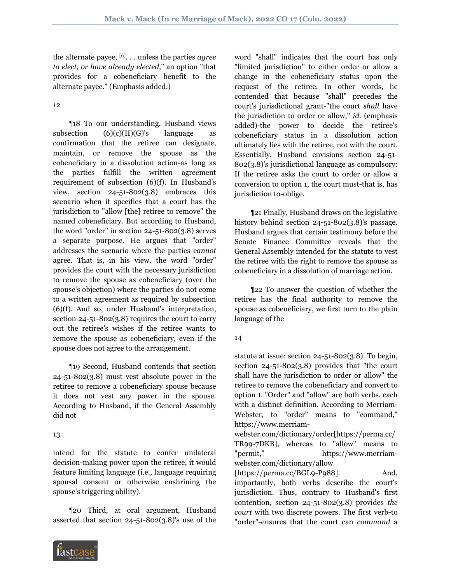<span id="page-3-0"></span>the alternate payee, [\[6](#page-5-4)] . . . unless the parties *agree to elect, or have already elected*," an option "that provides for a cobeneficiary benefit to the alternate payee." (Emphasis added.)

12

 ¶18 To our understanding, Husband views subsection  $(6)(c)(II)(G)'s$  language as confirmation that the retiree can designate, maintain, or remove the spouse as the cobeneficiary in a dissolution action-as long as the parties fulfill the written agreement requirement of subsection (6)(f). In Husband's view, section  $24 - 51 - 802(3.8)$  embraces this scenario when it specifies that a court has the jurisdiction to "allow [the] retiree to remove" the named cobeneficiary. But according to Husband, the word "order" in section 24-51-802(3.8) serves a separate purpose. He argues that "order" addresses the scenario where the parties *cannot* agree. That is, in his view, the word "order" provides the court with the necessary jurisdiction to remove the spouse as cobeneficiary (over the spouse's objection) where the parties do not come to a written agreement as required by subsection (6)(f). And so, under Husband's interpretation, section 24-51-802(3.8) requires the court to carry out the retiree's wishes if the retiree wants to remove the spouse as cobeneficiary, even if the spouse does not agree to the arrangement.

 ¶19 Second, Husband contends that section 24-51-802(3.8) must vest absolute power in the retiree to remove a cobeneficiary spouse because it does not vest any power in the spouse. According to Husband, if the General Assembly did not

## 13

intend for the statute to confer unilateral decision-making power upon the retiree, it would feature limiting language (i.e., language requiring spousal consent or otherwise enshrining the spouse's triggering ability).

 ¶20 Third, at oral argument, Husband asserted that section 24-51-802(3.8)'s use of the



word "shall" indicates that the court has only "limited jurisdiction" to either order or allow a change in the cobeneficiary status upon the request of the retiree. In other words, he contended that because "shall" precedes the court's jurisdictional grant-"the court *shall* have the jurisdiction to order or allow," *id.* (emphasis added)-the power to decide the retiree's cobeneficiary status in a dissolution action ultimately lies with the retiree, not with the court. Essentially, Husband envisions section 24-51- 802(3.8)'s jurisdictional language as compulsory: If the retiree asks the court to order or allow a conversion to option 1, the court must-that is, has jurisdiction to-oblige.

 ¶21 Finally, Husband draws on the legislative history behind section 24-51-802(3.8)'s passage. Husband argues that certain testimony before the Senate Finance Committee reveals that the General Assembly intended for the statute to vest the retiree with the right to remove the spouse as cobeneficiary in a dissolution of marriage action.

 ¶22 To answer the question of whether the retiree has the final authority to remove the spouse as cobeneficiary, we first turn to the plain language of the

## 14

statute at issue: section 24-51-802(3.8). To begin, section 24-51-802(3.8) provides that "the court shall have the jurisdiction to order or allow" the retiree to remove the cobeneficiary and convert to option 1. "Order" and "allow" are both verbs, each with a distinct definition. According to Merriam-Webster, to "order" means to "command," https://www.merriam-

webster.com/dictionary/order[https://perma.cc/ TR99-7DKB], whereas to "allow" means to "permit," https://www.merriamwebster.com/dictionary/allow [https://perma.cc/BGL9-P988]. And, importantly, both verbs describe the court's jurisdiction. Thus, contrary to Husband's first contention, section 24-51-802(3.8) provides *the court* with two discrete powers. The first verb-to "order"-ensures that the court can *command* a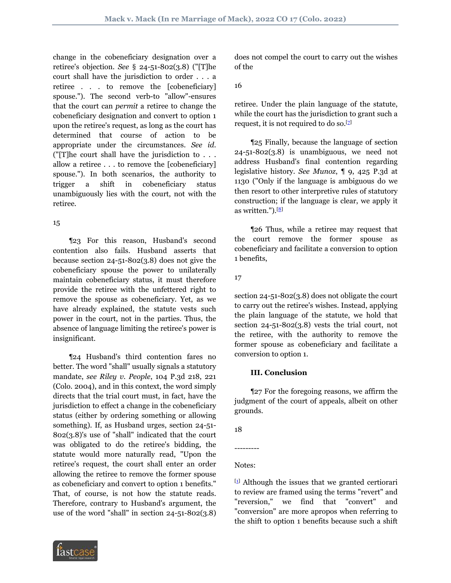change in the cobeneficiary designation over a retiree's objection. *See* § 24-51-802(3.8) ("[T]he court shall have the jurisdiction to order . . . a retiree . . . to remove the [cobeneficiary] spouse."). The second verb-to "allow"-ensures that the court can *permit* a retiree to change the cobeneficiary designation and convert to option 1 upon the retiree's request, as long as the court has determined that course of action to be appropriate under the circumstances. *See id.* ("[T]he court shall have the jurisdiction to . . . allow a retiree . . . to remove the [cobeneficiary] spouse."). In both scenarios, the authority to trigger a shift in cobeneficiary status unambiguously lies with the court, not with the retiree.

#### 15

 ¶23 For this reason, Husband's second contention also fails. Husband asserts that because section 24-51-802(3.8) does not give the cobeneficiary spouse the power to unilaterally maintain cobeneficiary status, it must therefore provide the retiree with the unfettered right to remove the spouse as cobeneficiary. Yet, as we have already explained, the statute vests such power in the court, not in the parties. Thus, the absence of language limiting the retiree's power is insignificant.

 ¶24 Husband's third contention fares no better. The word "shall" usually signals a statutory mandate, *see Riley v. People*, 104 P.3d 218, 221 (Colo. 2004), and in this context, the word simply directs that the trial court must, in fact, have the jurisdiction to effect a change in the cobeneficiary status (either by ordering something or allowing something). If, as Husband urges, section 24-51- 802(3.8)'s use of "shall" indicated that the court was obligated to do the retiree's bidding, the statute would more naturally read, "Upon the retiree's request, the court shall enter an order allowing the retiree to remove the former spouse as cobeneficiary and convert to option 1 benefits." That, of course, is not how the statute reads. Therefore, contrary to Husband's argument, the use of the word "shall" in section 24-51-802(3.8)



does not compel the court to carry out the wishes of the

## 16

retiree. Under the plain language of the statute, while the court has the jurisdiction to grant such a request, it is not required to do so.<sup>[\[7](#page-5-5)]</sup>

<span id="page-4-1"></span> ¶25 Finally, because the language of section  $24 - 51 - 802(3.8)$  is unambiguous, we need not address Husband's final contention regarding legislative history. *See Munoz*, ¶ 9, 425 P.3d at 1130 ("Only if the language is ambiguous do we then resort to other interpretive rules of statutory construction; if the language is clear, we apply it as written.").[\[8\]](#page-5-6)

<span id="page-4-2"></span> ¶26 Thus, while a retiree may request that the court remove the former spouse as cobeneficiary and facilitate a conversion to option 1 benefits,

## 17

section 24-51-802(3.8) does not obligate the court to carry out the retiree's wishes. Instead, applying the plain language of the statute, we hold that section 24-51-802(3.8) vests the trial court, not the retiree, with the authority to remove the former spouse as cobeneficiary and facilitate a conversion to option 1.

## **III. Conclusion**

 ¶27 For the foregoing reasons, we affirm the judgment of the court of appeals, albeit on other grounds.

18

---------

# Notes:

<span id="page-4-0"></span> $[1]$  $[1]$  Although the issues that we granted certiorari to review are framed using the terms "revert" and "reversion," we find that "convert" and "conversion" are more apropos when referring to the shift to option 1 benefits because such a shift